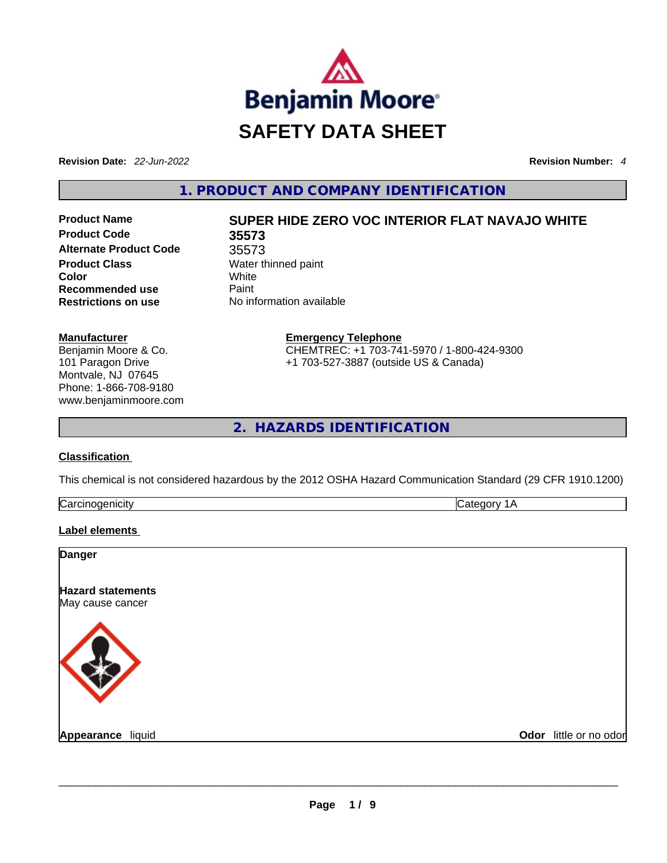

**Revision Date:** *22-Jun-2022* **Revision Number:** *4*

**1. PRODUCT AND COMPANY IDENTIFICATION** 

**Product Code 35573 Alternate Product Code** 35573 **Product Class Water thinned paint Color** White **Recommended use Paint Restrictions on use** No information available

# **Product Name SUPER HIDE ZERO VOC INTERIOR FLAT NAVAJO WHITE**

**Manufacturer** Benjamin Moore & Co. 101 Paragon Drive Montvale, NJ 07645 Phone: 1-866-708-9180 www.benjaminmoore.com **Emergency Telephone** CHEMTREC: +1 703-741-5970 / 1-800-424-9300 +1 703-527-3887 (outside US & Canada)

**2. HAZARDS IDENTIFICATION** 

## **Classification**

This chemical is not considered hazardous by the 2012 OSHA Hazard Communication Standard (29 CFR 1910.1200)

| $\sim$ |  |
|--------|--|
|        |  |

#### **Label elements**

| <b>Danger</b>                                |                        |
|----------------------------------------------|------------------------|
| <b>Hazard statements</b><br>May cause cancer |                        |
|                                              |                        |
| Appearance liquid                            | Odor little or no odor |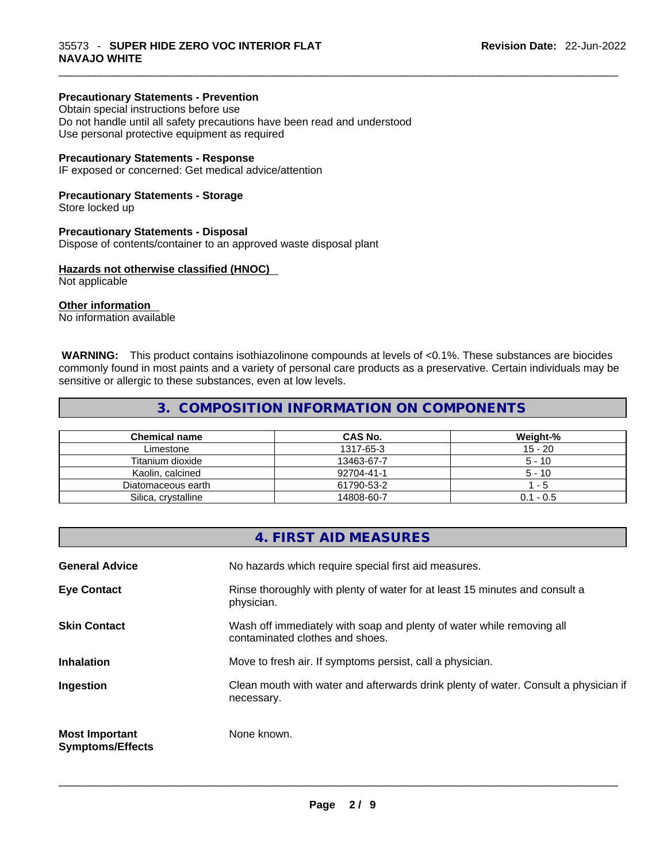### **Precautionary Statements - Prevention**

Obtain special instructions before use Do not handle until all safety precautions have been read and understood Use personal protective equipment as required

#### **Precautionary Statements - Response**

IF exposed or concerned: Get medical advice/attention

#### **Precautionary Statements - Storage**

Store locked up

#### **Precautionary Statements - Disposal**

Dispose of contents/container to an approved waste disposal plant

#### **Hazards not otherwise classified (HNOC)**

Not applicable

#### **Other information**

No information available

 **WARNING:** This product contains isothiazolinone compounds at levels of <0.1%. These substances are biocides commonly found in most paints and a variety of personal care products as a preservative. Certain individuals may be sensitive or allergic to these substances, even at low levels.

 $\_$  ,  $\_$  ,  $\_$  ,  $\_$  ,  $\_$  ,  $\_$  ,  $\_$  ,  $\_$  ,  $\_$  ,  $\_$  ,  $\_$  ,  $\_$  ,  $\_$  ,  $\_$  ,  $\_$  ,  $\_$  ,  $\_$  ,  $\_$  ,  $\_$  ,  $\_$  ,  $\_$  ,  $\_$  ,  $\_$  ,  $\_$  ,  $\_$  ,  $\_$  ,  $\_$  ,  $\_$  ,  $\_$  ,  $\_$  ,  $\_$  ,  $\_$  ,  $\_$  ,  $\_$  ,  $\_$  ,  $\_$  ,  $\_$  ,

## **3. COMPOSITION INFORMATION ON COMPONENTS**

| <b>Chemical name</b> | CAS No.    | Weight-%    |
|----------------------|------------|-------------|
| Limestone            | 1317-65-3  | $15 - 20$   |
| Titanium dioxide     | 13463-67-7 | $5 - 10$    |
| Kaolin, calcined     | 92704-41-1 | $5 - 10$    |
| Diatomaceous earth   | 61790-53-2 | - 5         |
| Silica, crystalline  | 14808-60-7 | $0.1 - 0.5$ |

|                                                  | 4. FIRST AID MEASURES                                                                                    |
|--------------------------------------------------|----------------------------------------------------------------------------------------------------------|
| <b>General Advice</b>                            | No hazards which require special first aid measures.                                                     |
| <b>Eye Contact</b>                               | Rinse thoroughly with plenty of water for at least 15 minutes and consult a<br>physician.                |
| <b>Skin Contact</b>                              | Wash off immediately with soap and plenty of water while removing all<br>contaminated clothes and shoes. |
| <b>Inhalation</b>                                | Move to fresh air. If symptoms persist, call a physician.                                                |
| Ingestion                                        | Clean mouth with water and afterwards drink plenty of water. Consult a physician if<br>necessary.        |
| <b>Most Important</b><br><b>Symptoms/Effects</b> | None known.                                                                                              |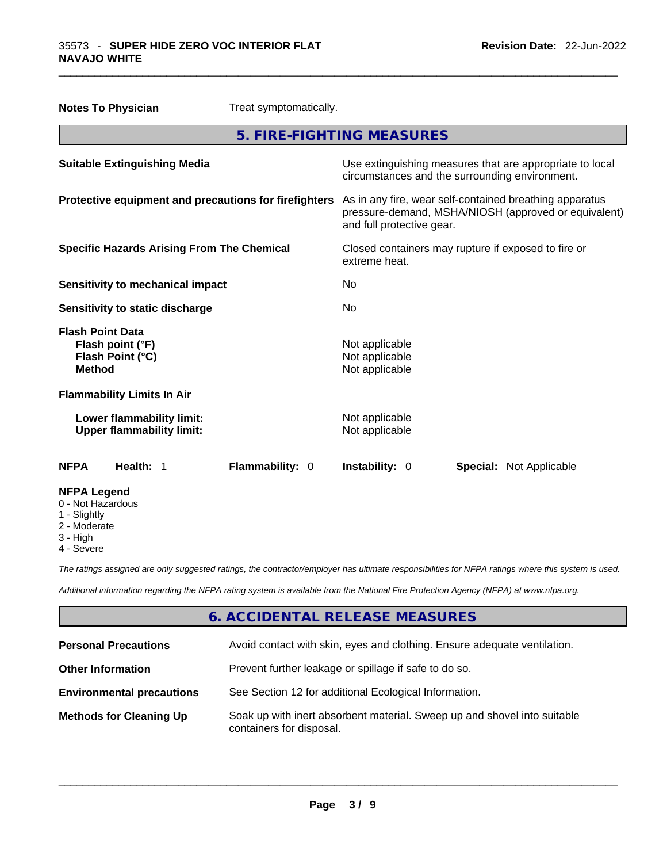|                                                                                  | <b>Notes To Physician</b>         | Treat symptomatically.                                                                                                                       |                           |                                |  |
|----------------------------------------------------------------------------------|-----------------------------------|----------------------------------------------------------------------------------------------------------------------------------------------|---------------------------|--------------------------------|--|
|                                                                                  |                                   |                                                                                                                                              | 5. FIRE-FIGHTING MEASURES |                                |  |
| <b>Suitable Extinguishing Media</b>                                              |                                   | Use extinguishing measures that are appropriate to local<br>circumstances and the surrounding environment.                                   |                           |                                |  |
| Protective equipment and precautions for firefighters                            |                                   | As in any fire, wear self-contained breathing apparatus<br>pressure-demand, MSHA/NIOSH (approved or equivalent)<br>and full protective gear. |                           |                                |  |
| <b>Specific Hazards Arising From The Chemical</b>                                |                                   | Closed containers may rupture if exposed to fire or<br>extreme heat.                                                                         |                           |                                |  |
| Sensitivity to mechanical impact                                                 |                                   | No                                                                                                                                           |                           |                                |  |
| Sensitivity to static discharge                                                  |                                   | No                                                                                                                                           |                           |                                |  |
| <b>Flash Point Data</b><br>Flash point (°F)<br>Flash Point (°C)<br><b>Method</b> |                                   | Not applicable<br>Not applicable<br>Not applicable                                                                                           |                           |                                |  |
|                                                                                  | <b>Flammability Limits In Air</b> |                                                                                                                                              |                           |                                |  |
| Lower flammability limit:<br><b>Upper flammability limit:</b>                    |                                   | Not applicable<br>Not applicable                                                                                                             |                           |                                |  |
| <b>NFPA</b>                                                                      | Health: 1                         | Flammability: 0                                                                                                                              | Instability: 0            | <b>Special: Not Applicable</b> |  |
| <b>NFPA Legend</b><br>0 - Not Hazardous<br>1 - Slightly                          |                                   |                                                                                                                                              |                           |                                |  |

 $\_$  ,  $\_$  ,  $\_$  ,  $\_$  ,  $\_$  ,  $\_$  ,  $\_$  ,  $\_$  ,  $\_$  ,  $\_$  ,  $\_$  ,  $\_$  ,  $\_$  ,  $\_$  ,  $\_$  ,  $\_$  ,  $\_$  ,  $\_$  ,  $\_$  ,  $\_$  ,  $\_$  ,  $\_$  ,  $\_$  ,  $\_$  ,  $\_$  ,  $\_$  ,  $\_$  ,  $\_$  ,  $\_$  ,  $\_$  ,  $\_$  ,  $\_$  ,  $\_$  ,  $\_$  ,  $\_$  ,  $\_$  ,  $\_$  ,

- 
- 2 Moderate
- 3 High
- 4 Severe

*The ratings assigned are only suggested ratings, the contractor/employer has ultimate responsibilities for NFPA ratings where this system is used.* 

*Additional information regarding the NFPA rating system is available from the National Fire Protection Agency (NFPA) at www.nfpa.org.* 

# **6. ACCIDENTAL RELEASE MEASURES**

| <b>Personal Precautions</b>      | Avoid contact with skin, eyes and clothing. Ensure adequate ventilation.                             |
|----------------------------------|------------------------------------------------------------------------------------------------------|
| <b>Other Information</b>         | Prevent further leakage or spillage if safe to do so.                                                |
| <b>Environmental precautions</b> | See Section 12 for additional Ecological Information.                                                |
| <b>Methods for Cleaning Up</b>   | Soak up with inert absorbent material. Sweep up and shovel into suitable<br>containers for disposal. |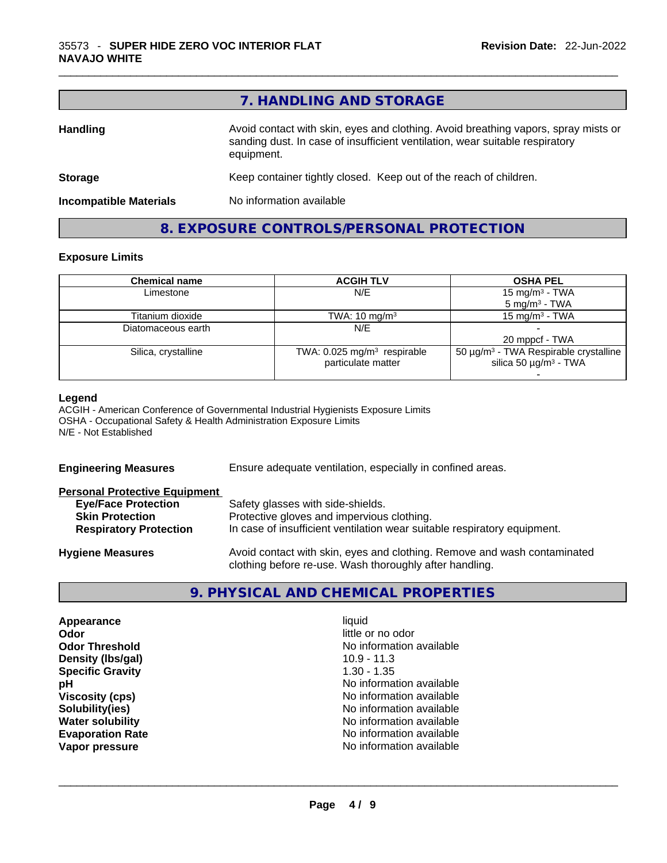|                               | 7. HANDLING AND STORAGE                                                                                                                                                          |
|-------------------------------|----------------------------------------------------------------------------------------------------------------------------------------------------------------------------------|
| <b>Handling</b>               | Avoid contact with skin, eyes and clothing. Avoid breathing vapors, spray mists or<br>sanding dust. In case of insufficient ventilation, wear suitable respiratory<br>equipment. |
| <b>Storage</b>                | Keep container tightly closed. Keep out of the reach of children.                                                                                                                |
| <b>Incompatible Materials</b> | No information available                                                                                                                                                         |

**8. EXPOSURE CONTROLS/PERSONAL PROTECTION** 

 $\_$  ,  $\_$  ,  $\_$  ,  $\_$  ,  $\_$  ,  $\_$  ,  $\_$  ,  $\_$  ,  $\_$  ,  $\_$  ,  $\_$  ,  $\_$  ,  $\_$  ,  $\_$  ,  $\_$  ,  $\_$  ,  $\_$  ,  $\_$  ,  $\_$  ,  $\_$  ,  $\_$  ,  $\_$  ,  $\_$  ,  $\_$  ,  $\_$  ,  $\_$  ,  $\_$  ,  $\_$  ,  $\_$  ,  $\_$  ,  $\_$  ,  $\_$  ,  $\_$  ,  $\_$  ,  $\_$  ,  $\_$  ,  $\_$  ,

## **Exposure Limits**

| <b>Chemical name</b> | <b>ACGIH TLV</b>                          | <b>OSHA PEL</b>                                        |
|----------------------|-------------------------------------------|--------------------------------------------------------|
| Limestone            | N/E                                       | 15 mg/m <sup>3</sup> - TWA                             |
|                      |                                           | $5 \text{ mg/m}^3$ - TWA                               |
| Titanium dioxide     | TWA: $10 \text{ mg/m}^3$                  | 15 mg/m $3$ - TWA                                      |
| Diatomaceous earth   | N/E                                       |                                                        |
|                      |                                           | 20 mppcf - TWA                                         |
| Silica, crystalline  | TWA: $0.025$ mg/m <sup>3</sup> respirable | 50 $\mu$ g/m <sup>3</sup> - TWA Respirable crystalline |
|                      | particulate matter                        | silica 50 $\mu$ g/m <sup>3</sup> - TWA                 |
|                      |                                           |                                                        |

#### **Legend**

ACGIH - American Conference of Governmental Industrial Hygienists Exposure Limits OSHA - Occupational Safety & Health Administration Exposure Limits N/E - Not Established

| <b>Engineering Measures</b>          | Ensure adequate ventilation, especially in confined areas.                                                                          |  |  |
|--------------------------------------|-------------------------------------------------------------------------------------------------------------------------------------|--|--|
| <b>Personal Protective Equipment</b> |                                                                                                                                     |  |  |
| <b>Eye/Face Protection</b>           | Safety glasses with side-shields.                                                                                                   |  |  |
| <b>Skin Protection</b>               | Protective gloves and impervious clothing.                                                                                          |  |  |
| <b>Respiratory Protection</b>        | In case of insufficient ventilation wear suitable respiratory equipment.                                                            |  |  |
| <b>Hygiene Measures</b>              | Avoid contact with skin, eyes and clothing. Remove and wash contaminated<br>clothing before re-use. Wash thoroughly after handling. |  |  |

## **9. PHYSICAL AND CHEMICAL PROPERTIES**

| Appearance              | liquid                   |  |
|-------------------------|--------------------------|--|
| Odor                    | little or no odor        |  |
| <b>Odor Threshold</b>   | No information available |  |
| Density (Ibs/gal)       | $10.9 - 11.3$            |  |
| <b>Specific Gravity</b> | $1.30 - 1.35$            |  |
| рH                      | No information available |  |
| <b>Viscosity (cps)</b>  | No information available |  |
| Solubility(ies)         | No information available |  |
| <b>Water solubility</b> | No information available |  |
| <b>Evaporation Rate</b> | No information available |  |
| Vapor pressure          | No information available |  |
|                         |                          |  |
|                         |                          |  |
|                         |                          |  |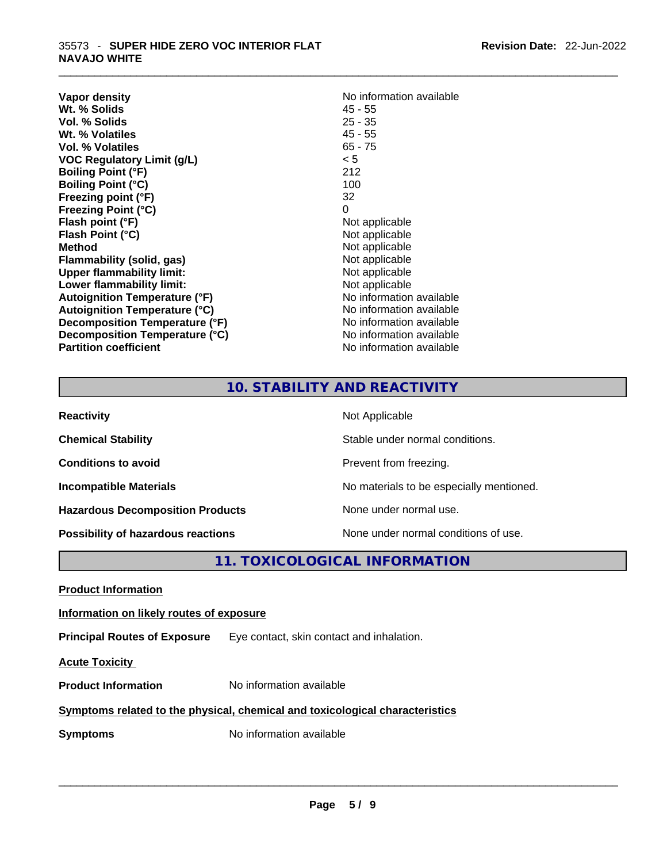| Vapor density<br>Wt. % Solids        | No information available<br>$45 - 55$ |
|--------------------------------------|---------------------------------------|
| Vol. % Solids                        | $25 - 35$                             |
| Wt. % Volatiles                      | $45 - 55$                             |
| Vol. % Volatiles                     | $65 - 75$                             |
| <b>VOC Regulatory Limit (g/L)</b>    | < 5                                   |
| <b>Boiling Point (°F)</b>            | 212                                   |
| <b>Boiling Point (°C)</b>            | 100                                   |
| Freezing point (°F)                  | 32                                    |
| <b>Freezing Point (°C)</b>           | 0                                     |
| Flash point (°F)                     | Not applicable                        |
| Flash Point (°C)                     | Not applicable                        |
| <b>Method</b>                        | Not applicable                        |
| Flammability (solid, gas)            | Not applicable                        |
| <b>Upper flammability limit:</b>     | Not applicable                        |
| Lower flammability limit:            | Not applicable                        |
| <b>Autoignition Temperature (°F)</b> | No information available              |
| <b>Autoignition Temperature (°C)</b> | No information available              |
| Decomposition Temperature (°F)       | No information available              |
| Decomposition Temperature (°C)       | No information available              |
| <b>Partition coefficient</b>         | No information available              |

 $\_$  ,  $\_$  ,  $\_$  ,  $\_$  ,  $\_$  ,  $\_$  ,  $\_$  ,  $\_$  ,  $\_$  ,  $\_$  ,  $\_$  ,  $\_$  ,  $\_$  ,  $\_$  ,  $\_$  ,  $\_$  ,  $\_$  ,  $\_$  ,  $\_$  ,  $\_$  ,  $\_$  ,  $\_$  ,  $\_$  ,  $\_$  ,  $\_$  ,  $\_$  ,  $\_$  ,  $\_$  ,  $\_$  ,  $\_$  ,  $\_$  ,  $\_$  ,  $\_$  ,  $\_$  ,  $\_$  ,  $\_$  ,  $\_$  ,

# **10. STABILITY AND REACTIVITY**

| <b>Reactivity</b>                         | Not Applicable                           |
|-------------------------------------------|------------------------------------------|
| <b>Chemical Stability</b>                 | Stable under normal conditions.          |
| <b>Conditions to avoid</b>                | Prevent from freezing.                   |
| <b>Incompatible Materials</b>             | No materials to be especially mentioned. |
| <b>Hazardous Decomposition Products</b>   | None under normal use.                   |
| <b>Possibility of hazardous reactions</b> | None under normal conditions of use.     |

**11. TOXICOLOGICAL INFORMATION** 

**Product Information**

#### **Information on likely routes of exposure**

**Principal Routes of Exposure** Eye contact, skin contact and inhalation.

**Acute Toxicity** 

**Product Information** No information available

#### **Symptoms related to the physical, chemical and toxicological characteristics**

**Symptoms** No information available **Note that the set of the set of the set of the set of the set of the set of the set of the set of the set of the set of the set of the set of the set of the set of the set of the set of**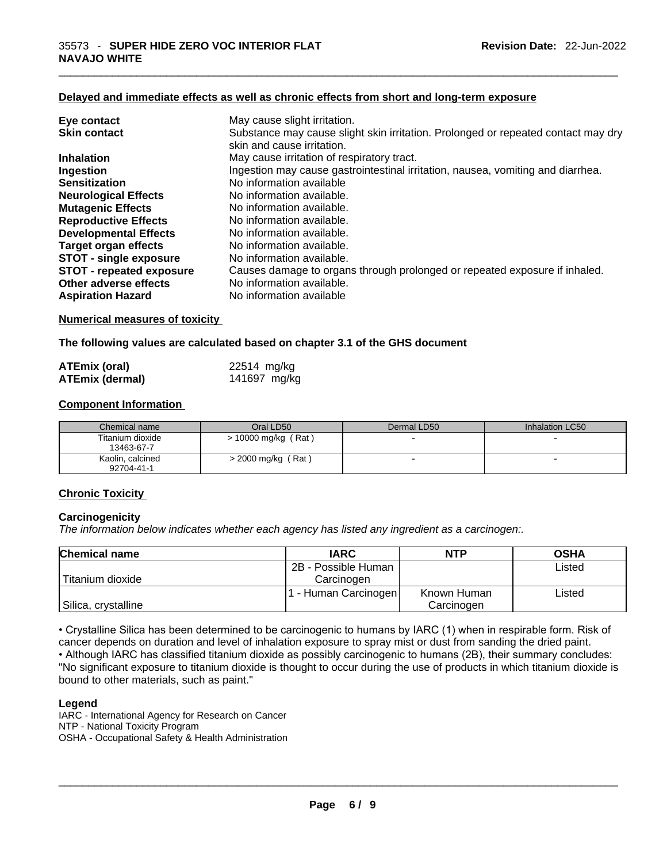#### **Delayed and immediate effects as well as chronic effects from short and long-term exposure**

| Eye contact                     | May cause slight irritation.                                                      |
|---------------------------------|-----------------------------------------------------------------------------------|
| <b>Skin contact</b>             | Substance may cause slight skin irritation. Prolonged or repeated contact may dry |
|                                 | skin and cause irritation.                                                        |
| <b>Inhalation</b>               | May cause irritation of respiratory tract.                                        |
| Ingestion                       | Ingestion may cause gastrointestinal irritation, nausea, vomiting and diarrhea.   |
| <b>Sensitization</b>            | No information available                                                          |
| <b>Neurological Effects</b>     | No information available.                                                         |
| <b>Mutagenic Effects</b>        | No information available.                                                         |
| <b>Reproductive Effects</b>     | No information available.                                                         |
| <b>Developmental Effects</b>    | No information available.                                                         |
| <b>Target organ effects</b>     | No information available.                                                         |
| <b>STOT - single exposure</b>   | No information available.                                                         |
| <b>STOT - repeated exposure</b> | Causes damage to organs through prolonged or repeated exposure if inhaled.        |
| Other adverse effects           | No information available.                                                         |
| <b>Aspiration Hazard</b>        | No information available                                                          |

 $\_$  ,  $\_$  ,  $\_$  ,  $\_$  ,  $\_$  ,  $\_$  ,  $\_$  ,  $\_$  ,  $\_$  ,  $\_$  ,  $\_$  ,  $\_$  ,  $\_$  ,  $\_$  ,  $\_$  ,  $\_$  ,  $\_$  ,  $\_$  ,  $\_$  ,  $\_$  ,  $\_$  ,  $\_$  ,  $\_$  ,  $\_$  ,  $\_$  ,  $\_$  ,  $\_$  ,  $\_$  ,  $\_$  ,  $\_$  ,  $\_$  ,  $\_$  ,  $\_$  ,  $\_$  ,  $\_$  ,  $\_$  ,  $\_$  ,

#### **Numerical measures of toxicity**

**The following values are calculated based on chapter 3.1 of the GHS document**

| <b>ATEmix (oral)</b>   | 22514 mg/kg  |
|------------------------|--------------|
| <b>ATEmix (dermal)</b> | 141697 mg/kg |

#### **Component Information**

| Chemical name                  | Oral LD50             | Dermal LD50 | Inhalation LC50 |
|--------------------------------|-----------------------|-------------|-----------------|
| Titanium dioxide<br>13463-67-7 | $> 10000$ mg/kg (Rat) |             |                 |
| Kaolin, calcined<br>92704-41-1 | $>$ 2000 mg/kg (Rat)  |             |                 |

#### **Chronic Toxicity**

#### **Carcinogenicity**

*The information below indicates whether each agency has listed any ingredient as a carcinogen:.* 

| <b>Chemical name</b> | <b>IARC</b>          | <b>NTP</b>  | <b>OSHA</b> |
|----------------------|----------------------|-------------|-------------|
|                      | 2B - Possible Human  |             | Listed      |
| l Titanium dioxide   | Carcinogen           |             |             |
|                      | 1 - Human Carcinogen | Known Human | ∟isted      |
| Silica, crystalline  |                      | Carcinogen  |             |

• Crystalline Silica has been determined to be carcinogenic to humans by IARC (1) when in respirable form. Risk of cancer depends on duration and level of inhalation exposure to spray mist or dust from sanding the dried paint.

• Although IARC has classified titanium dioxide as possibly carcinogenic to humans (2B), their summary concludes: "No significant exposure to titanium dioxide is thought to occur during the use of products in which titanium dioxide is bound to other materials, such as paint."

#### **Legend**

IARC - International Agency for Research on Cancer NTP - National Toxicity Program OSHA - Occupational Safety & Health Administration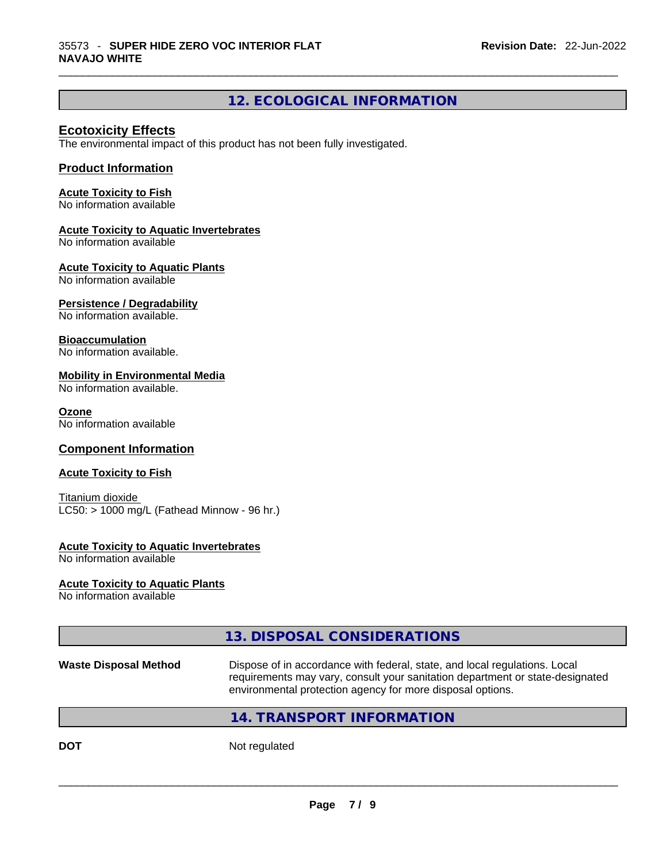# **12. ECOLOGICAL INFORMATION**

 $\_$  ,  $\_$  ,  $\_$  ,  $\_$  ,  $\_$  ,  $\_$  ,  $\_$  ,  $\_$  ,  $\_$  ,  $\_$  ,  $\_$  ,  $\_$  ,  $\_$  ,  $\_$  ,  $\_$  ,  $\_$  ,  $\_$  ,  $\_$  ,  $\_$  ,  $\_$  ,  $\_$  ,  $\_$  ,  $\_$  ,  $\_$  ,  $\_$  ,  $\_$  ,  $\_$  ,  $\_$  ,  $\_$  ,  $\_$  ,  $\_$  ,  $\_$  ,  $\_$  ,  $\_$  ,  $\_$  ,  $\_$  ,  $\_$  ,

### **Ecotoxicity Effects**

The environmental impact of this product has not been fully investigated.

## **Product Information**

#### **Acute Toxicity to Fish**

No information available

#### **Acute Toxicity to Aquatic Invertebrates**

No information available

#### **Acute Toxicity to Aquatic Plants**

No information available

#### **Persistence / Degradability**

No information available.

#### **Bioaccumulation**

No information available.

#### **Mobility in Environmental Media**

No information available.

#### **Ozone**

No information available

## **Component Information**

#### **Acute Toxicity to Fish**

Titanium dioxide  $LC50:$  > 1000 mg/L (Fathead Minnow - 96 hr.)

#### **Acute Toxicity to Aquatic Invertebrates**

No information available

#### **Acute Toxicity to Aquatic Plants**

No information available

# **13. DISPOSAL CONSIDERATIONS**

#### **Waste Disposal Method** Dispose of in accordance with federal, state, and local regulations. Local requirements may vary, consult your sanitation department or state-designated environmental protection agency for more disposal options.

## **14. TRANSPORT INFORMATION**

**DOT** Not regulated  $\blacksquare$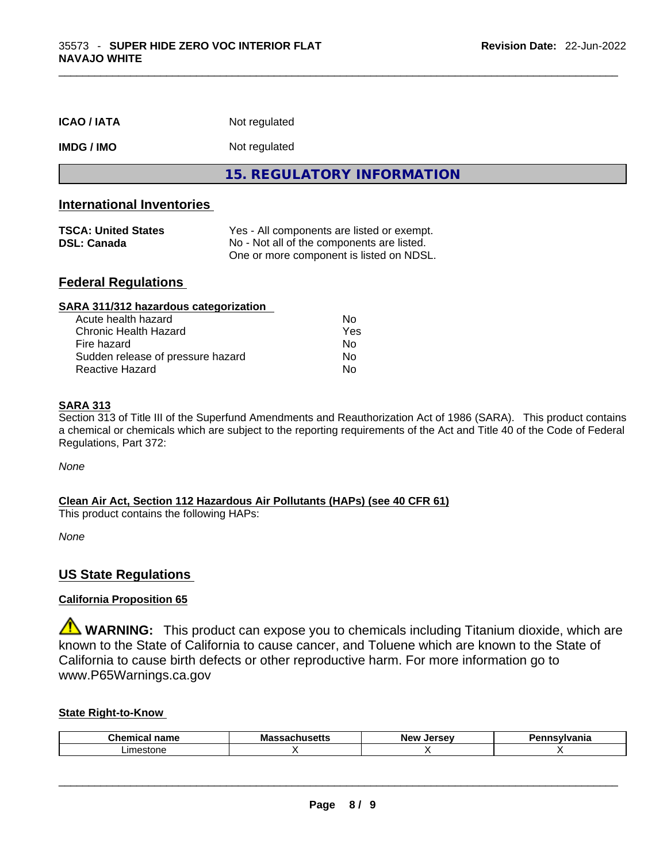| <b>ICAO / IATA</b>                               | Not regulated                                                                                                                        |
|--------------------------------------------------|--------------------------------------------------------------------------------------------------------------------------------------|
| <b>IMDG / IMO</b>                                | Not regulated                                                                                                                        |
|                                                  | 15. REGULATORY INFORMATION                                                                                                           |
| <b>International Inventories</b>                 |                                                                                                                                      |
| <b>TSCA: United States</b><br><b>DSL: Canada</b> | Yes - All components are listed or exempt.<br>No - Not all of the components are listed.<br>One or more component is listed on NDSL. |
| <b>Federal Regulations</b>                       |                                                                                                                                      |

 $\_$  ,  $\_$  ,  $\_$  ,  $\_$  ,  $\_$  ,  $\_$  ,  $\_$  ,  $\_$  ,  $\_$  ,  $\_$  ,  $\_$  ,  $\_$  ,  $\_$  ,  $\_$  ,  $\_$  ,  $\_$  ,  $\_$  ,  $\_$  ,  $\_$  ,  $\_$  ,  $\_$  ,  $\_$  ,  $\_$  ,  $\_$  ,  $\_$  ,  $\_$  ,  $\_$  ,  $\_$  ,  $\_$  ,  $\_$  ,  $\_$  ,  $\_$  ,  $\_$  ,  $\_$  ,  $\_$  ,  $\_$  ,  $\_$  ,

| SARA 311/312 hazardous categorization |                |  |
|---------------------------------------|----------------|--|
| Acute health hazard                   | No             |  |
| Chronic Health Hazard                 | Yes            |  |
| Fire hazard                           | N <sub>0</sub> |  |
| Sudden release of pressure hazard     | Nο             |  |
| Reactive Hazard                       | No             |  |

#### **SARA 313**

Section 313 of Title III of the Superfund Amendments and Reauthorization Act of 1986 (SARA). This product contains a chemical or chemicals which are subject to the reporting requirements of the Act and Title 40 of the Code of Federal Regulations, Part 372:

*None*

#### **Clean Air Act,Section 112 Hazardous Air Pollutants (HAPs) (see 40 CFR 61)**

This product contains the following HAPs:

*None*

#### **US State Regulations**

## **California Proposition 65**

**WARNING:** This product can expose you to chemicals including Titanium dioxide, which are known to the State of California to cause cancer, and Toluene which are known to the State of California to cause birth defects or other reproductive harm. For more information go to www.P65Warnings.ca.gov

### **State Right-to-Know**

| Chemi<br>- - - - - - -<br>name | Mas<br>ວບແວ<br>-- | New<br>Jersev | snovihionio<br>'lle. |
|--------------------------------|-------------------|---------------|----------------------|
| imestone                       |                   |               |                      |